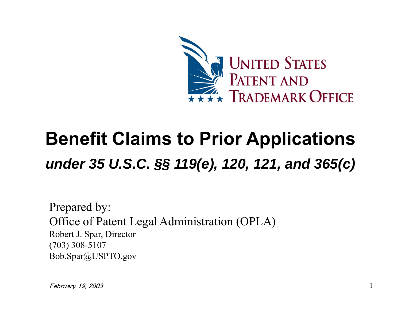

## **Benefit Claims to Prior Applications**  *under 35 U.S.C. §§ 119(e), 120, 121, and 365(c)*

Prepared by: Office of Patent Legal Administration (OPLA) Robert J. Spar, Director (703) 308-5107 Bob.Spar@USPTO.gov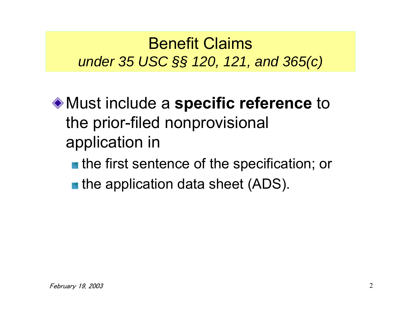#### Benefit Claims*under 35 USC §§ 120, 121, and 365(c)*

Must include a **specific reference** to the prior-filed nonprovisional application in

- **the first sentence of the specification; or**
- **the application data sheet (ADS).**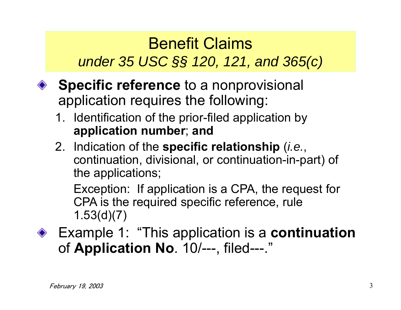### Benefit Claims*under 35 USC §§ 120, 121, and 365(c)*

- **◆ Specific reference** to a nonprovisional application requires the following:
	- 1. Identification of the prior-filed application by **application number**; **and**
	- 2. Indication of the **specific relationship** (*i.e.*, continuation, divisional, or continuation-in-part) of the applications;

Exception: If application is a CPA, the request for CPA is the required specific reference, rule 1.53(d)(7)

Example 1: "This application is a **continuation** of **Application No**. 10/---, filed---."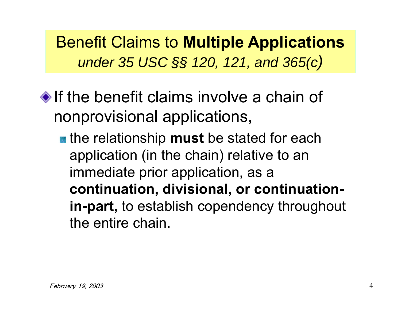Benefit Claims to **Multiple Applications** *under 35 USC §§ 120, 121, and 365(c)* 

 $\bullet$  If the benefit claims involve a chain of nonprovisional applications,

**the relationship must be stated for each** application (in the chain) relative to an immediate prior application, as a **continuation, divisional, or continuationin-part,** to establish copendency throughout the entire chain.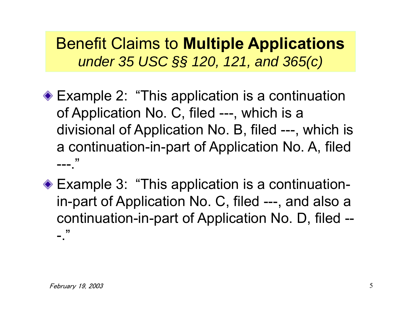Benefit Claims to **Multiple Applications** *under 35 USC §§ 120, 121, and 365(c)* 

- ◆ Example 2: "This application is a continuation of Application No. C, filed ---, which is a divisional of Application No. B, filed ---, which is a continuation-in-part of Application No. A, filed  $---$ "
- ◆ Example 3: "This application is a continuationin-part of Application No. C, filed ---, and also a continuation-in-part of Application No. D, filed --  $-$ ."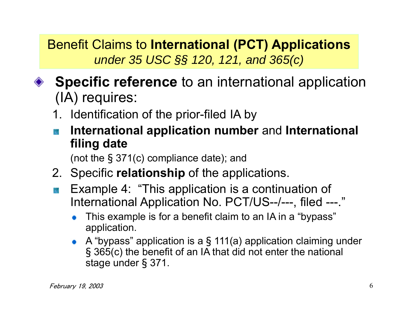Benefit Claims to **International (PCT) Applications** *under 35 USC §§ 120, 121, and 365(c)* 

- ◆ **Specific reference** to an international application (IA) requires:
	- 1. Identification of the prior-filed IA by
	- **International application number** and **International filing date**

(not the § 371(c) compliance date); and

- 2. Specific **relationship** of the applications.
- Example 4: "This application is a continuation of International Application No. PCT/US--/---, filed ---."
	- This example is for a benefit claim to an IA in a "bypass" application.
	- A "bypass" application is a § 111(a) application claiming under § 365(c) the benefit of an IA that did not enter the national stage under § 371.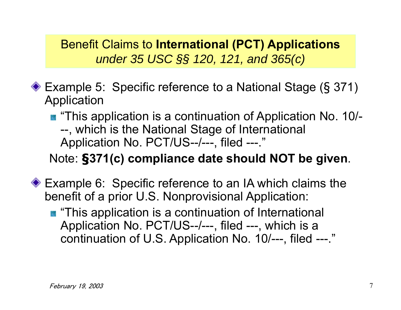Benefit Claims to **International (PCT) Applications** *under 35 USC §§ 120, 121, and 365(c)* 

- Example 5: Specific reference to a National Stage (§ 371) Application
	- **This application is a continuation of Application No. 10/-**--, which is the National Stage of International Application No. PCT/US--/---, filed ---."

#### Note: **§371(c) compliance date should NOT be given**.

- ◆ Example 6: Specific reference to an IA which claims the benefit of a prior U.S. Nonprovisional Application:
	- **This application is a continuation of International** Application No. PCT/US--/---, filed ---, which is a continuation of U.S. Application No. 10/---, filed ---."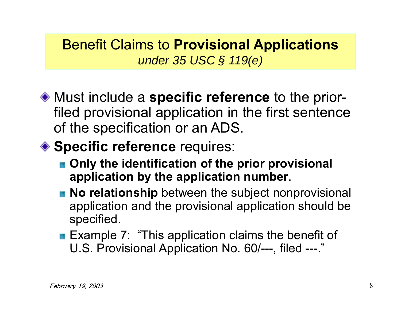#### Benefit Claims to **Provisional Applications** *under 35 USC § 119(e)*

Must include a **specific reference** to the priorfiled provisional application in the first sentence of the specification or an ADS.

#### ◆ Specific reference requires:

- $\blacksquare$  Only the identification of the prior provisional **application by the application number**.
- **No relationship** between the subject nonprovisional application and the provisional application should be specified.
- **Example 7: "This application claims the benefit of** U.S. Provisional Application No. 60/---, filed ---."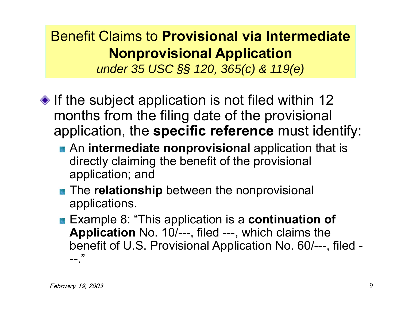## Benefit Claims to **Provisional via IntermediateNonprovisional Application**

*under 35 USC §§ 120, 365(c) & 119(e)* 

- $\bullet$  If the subject application is not filed within 12 months from the filing date of the provisional application, the **specific reference** must identify:
	- **An intermediate nonprovisional** application that is directly claiming the benefit of the provisional application; and
	- **The relationship** between the nonprovisional applications.
	- Example 8: "This application is a **continuation of Application** No. 10/---, filed ---, which claims the benefit of U.S. Provisional Application No. 60/---, filed -  $--$ ."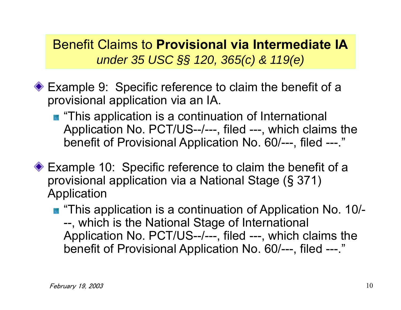Benefit Claims to **Provisional via Intermediate IA***under 35 USC §§ 120, 365(c) & 119(e)* 

- ◆ Example 9: Specific reference to claim the benefit of a provisional application via an IA.
	- **This application is a continuation of International** Application No. PCT/US--/---, filed ---, which claims the benefit of Provisional Application No. 60/---, filed ---."
- ◆ Example 10: Specific reference to claim the benefit of a provisional application via a National Stage (§ 371) Application
	- "This application is a continuation of Application No. 10/---, which is the National Stage of International Application No. PCT/US--/---, filed ---, which claims the benefit of Provisional Application No. 60/---, filed ---."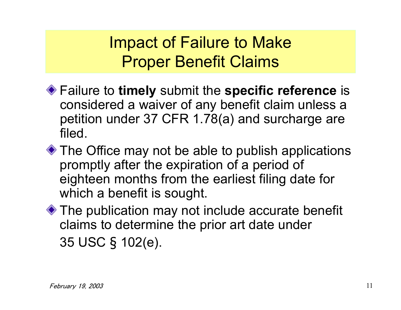Impact of Failure to Make Proper Benefit Claims

- Failure to **timely** submit the **specific reference** is considered a waiver of any benefit claim unless a petition under 37 CFR 1.78(a) and surcharge are filed.
- ◆ The Office may not be able to publish applications promptly after the expiration of a period of eighteen months from the earliest filing date for which a benefit is sought.
- ◆ The publication may not include accurate benefit claims to determine the prior art date under 35 USC § 102(e).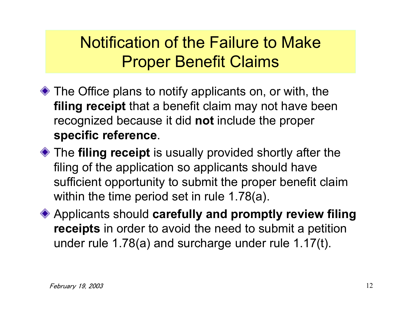## Notification of the Failure to MakeProper Benefit Claims

- ◆ The Office plans to notify applicants on, or with, the **filing receipt** that a benefit claim may not have been recognized because it did **not** include the proper **specific reference**.
- The **filing receipt** is usually provided shortly after the filing of the application so applicants should have sufficient opportunity to submit the proper benefit claim within the time period set in rule 1.78(a).
- Applicants should **carefully and promptly review filing receipts** in order to avoid the need to submit a petition under rule 1.78(a) and surcharge under rule 1.17(t).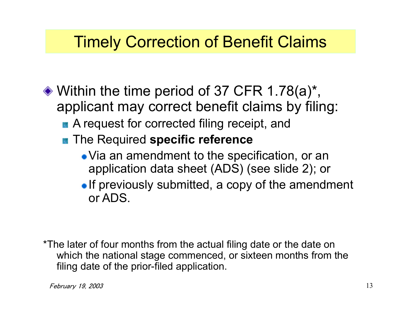#### Timely Correction of Benefit Claims

- $\bullet$  Within the time period of 37 CFR 1.78(a)<sup>\*</sup>, applicant may correct benefit claims by filing:
	- A request for corrected filing receipt, and
	- **The Required specific reference** 
		- Via an amendment to the specification, or an application data sheet (ADS) (see slide 2); or
		- $\bullet$  If previously submitted, a copy of the amendment or ADS.

\*The later of four months from the actual filing date or the date on which the national stage commenced, or sixteen months from the filing date of the prior-filed application.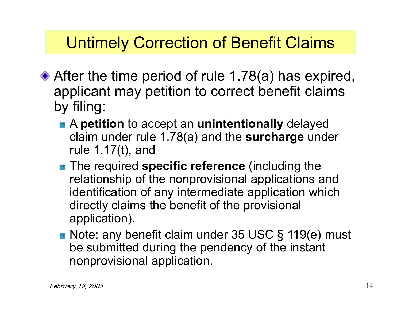### Untimely Correction of Benefit Claims

- ◆ After the time period of rule 1.78(a) has expired, applicant may petition to correct benefit claims by filing:
	- A **petition** to accept an **unintentionally** delayed claim under rule 1.78(a) and the **surcharge** under rule 1.17(t), and
	- **The required specific reference** (including the relationship of the nonprovisional applications and identification of any intermediate application which directly claims the benefit of the provisional application).
	- Note: any benefit claim under 35 USC § 119(e) must be submitted during the pendency of the instant nonprovisional application.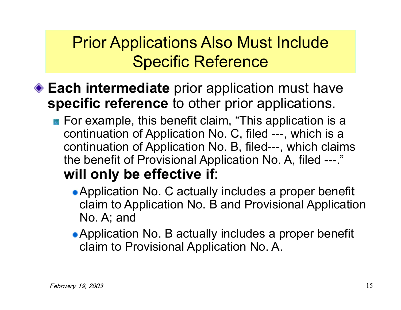### Prior Applications Also Must Include Specific Reference

- **Each intermediate** prior application must have **specific reference** to other prior applications.
	- **For example, this benefit claim, "This application is a** continuation of Application No. C, filed ---, which is a continuation of Application No. B, filed---, which claims the benefit of Provisional Application No. A, filed ---." **will only be effective if**:
		- Application No. C actually includes a proper benefit claim to Application No. B and Provisional Application No. A; and
		- Application No. B actually includes a proper benefit claim to Provisional Application No. A.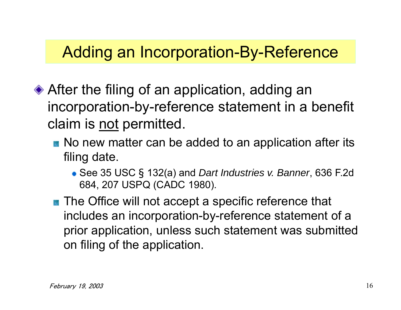#### Adding an Incorporation-By-Reference

- ◆ After the filing of an application, adding an incorporation-by-reference statement in a benefit claim is not permitted.
	- No new matter can be added to an application after its filing date.
		- See 35 USC § 132(a) and *Dart Industries v. Banner*, 636 F.2d 684, 207 USPQ (CADC 1980).
	- **The Office will not accept a specific reference that** includes an incorporation-by-reference statement of a prior application, unless such statement was submitted on filing of the application.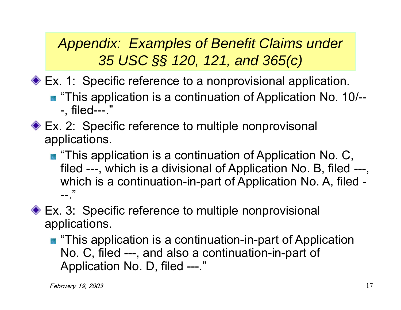◆ Ex. 1: Specific reference to a nonprovisional application.

- **This application is a continuation of Application No. 10/--**-, filed---."
- ◆ Ex. 2: Specific reference to multiple nonprovisonal applications.
	- **This application is a continuation of Application No. C,** filed ---, which is a divisional of Application No. B, filed ---, which is a continuation-in-part of Application No. A, filed - $--$ ."
- ◆ Ex. 3: Specific reference to multiple nonprovisional applications.
	- **This application is a continuation-in-part of Application** No. C, filed ---, and also a continuation-in-part of Application No. D, filed ---."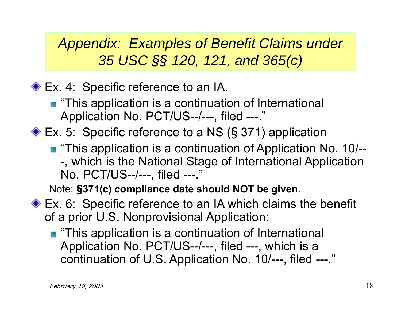◆ Ex. 4: Specific reference to an IA.

- **This application is a continuation of International** Application No. PCT/US--/---, filed ---."
- Ex. 5: Specific reference to a NS ( § 371) application
	- **This application is a continuation of Application No. 10/--**-, which is the National Stage of International Application No. PCT/US--/---, filed ---."

Note: **§371(c) compliance date should NOT be given**.

- ◆ Ex. 6: Specific reference to an IA which claims the benefit of a prior U.S. Nonprovisional Application:
	- **This application is a continuation of International** Application No. PCT/US--/---, filed ---, which is a continuation of U.S. Application No. 10/---, filed ---."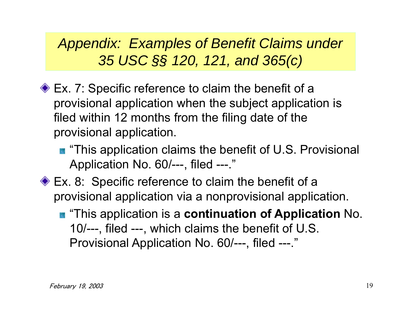- ◆ Ex. 7: Specific reference to claim the benefit of a provisional application when the subject application is filed within 12 months from the filing date of the provisional application.
	- **This application claims the benefit of U.S. Provisional** Application No. 60/---, filed ---."
- ◆ Ex. 8: Specific reference to claim the benefit of a provisional application via a nonprovisional application.
	- $\blacksquare$  "This application is a **continuation of Application** No. 10/---, filed ---, which claims the benefit of U.S. Provisional Application No. 60/---, filed ---."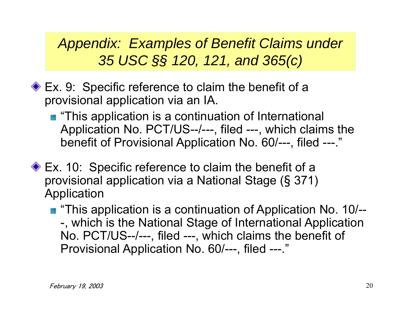- ◆ Ex. 9: Specific reference to claim the benefit of a provisional application via an IA.
	- **This application is a continuation of International** Application No. PCT/US--/---, filed ---, which claims the benefit of Provisional Application No. 60/---, filed ---."
- ◆ Ex. 10: Specific reference to claim the benefit of a provisional application via a National Stage ( § 371) Application
	- **This application is a continuation of Application No. 10/--**-, which is the National Stage of International Application No. PCT/US--/---, filed ---, which claims the benefit of Provisional Application No. 60/---, filed ---."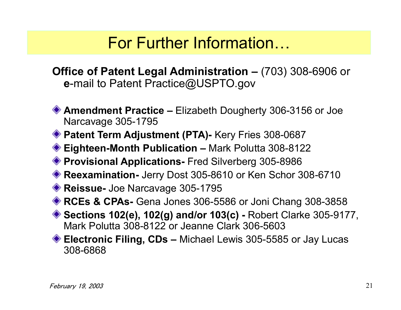### For Further Information…

**Office of Patent Legal Administration –** (703) 308-6906 or **<sup>e</sup>**-mail to Patent Practice@USPTO.gov

- **Amendment Practice –** Elizabeth Dougherty 306-3156 or Joe Narcavage 305-1795
- ◆ Patent Term Adjustment (PTA)- Kery Fries 308-0687
- **Eighteen-Month Publication –** Mark Polutta 308-8122
- **Provisional Applications-** Fred Silverberg 305-8986
- **Reexamination-** Jerry Dost 305-8610 or Ken Schor 308-6710
- **Reissue-** Joe Narcavage 305-1795
- **RCEs & CPAs-** Gena Jones 306-5586 or Joni Chang 308-3858
- **Sections 102(e), 102(g) and/or 103(c) -** Robert Clarke 305-9177, Mark Polutta 308-8122 or Jeanne Clark 306-5603
- ◆ **Electronic Filing, CDs** Michael Lewis 305-5585 or Jay Lucas 308-6868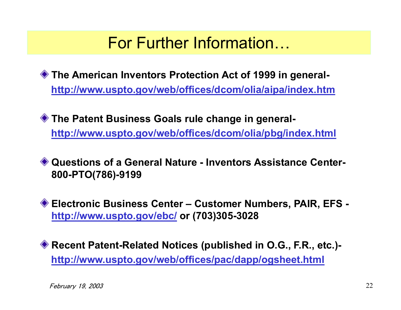### For Further Information…

**The American Inventors Protection Act of 1999 in generalhttp://www.uspto.gov/web/offices/dcom/olia/aipa/index.htm**

**The Patent Business Goals rule change in generalhttp://www.uspto.gov/web/offices/dcom/olia/pbg/index.html**

**Questions of a General Nature - Inventors Assistance Center-800-PTO(786)-9199**

**Electronic Business Center – Customer Numbers, PAIR, EFS http://www.uspto.gov/ebc/ or (703)305-3028**

**Recent Patent-Related Notices (published in O.G., F.R., etc.) http://www.uspto.gov/web/offices/pac/dapp/ogsheet.html**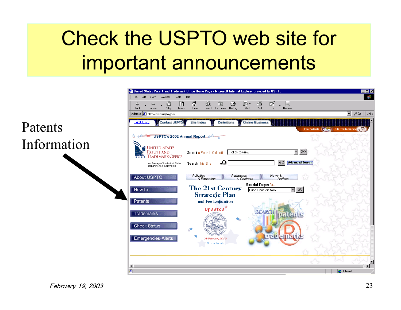# Check the USPTO web site for important announcements